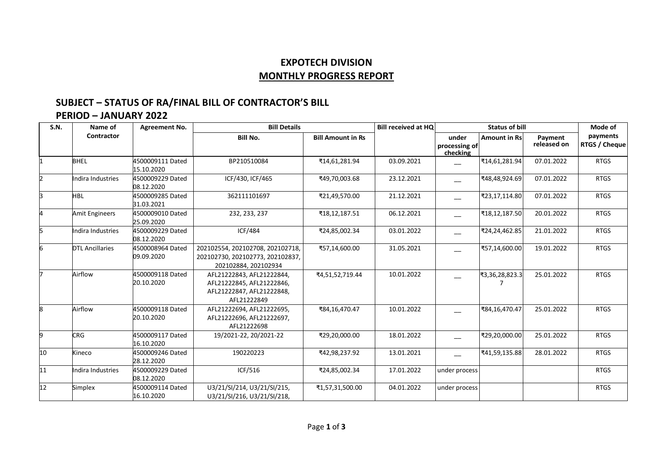## **EXPOTECH DIVISION MONTHLY PROGRESS REPORT**

## **SUBJECT – STATUS OF RA/FINAL BILL OF CONTRACTOR'S BILL**

## **PERIOD – JANUARY 2022**

| S.N. | Name of                | <b>Agreement No.</b>           | <b>Bill Details</b>                                                                                |                          | <b>Bill received at HQ</b> | <b>Status of bill</b>              |                     |                        | Mode of                   |
|------|------------------------|--------------------------------|----------------------------------------------------------------------------------------------------|--------------------------|----------------------------|------------------------------------|---------------------|------------------------|---------------------------|
|      | Contractor             |                                | <b>Bill No.</b>                                                                                    | <b>Bill Amount in Rs</b> |                            | under<br>processing of<br>checking | <b>Amount in Rs</b> | Payment<br>released on | payments<br>RTGS / Cheque |
|      | <b>BHEL</b>            | 4500009111 Dated<br>15.10.2020 | BP210510084                                                                                        | ₹14,61,281.94            | 03.09.2021                 |                                    | ₹14,61,281.94       | 07.01.2022             | <b>RTGS</b>               |
|      | Indira Industries      | 4500009229 Dated<br>08.12.2020 | ICF/430, ICF/465                                                                                   | ₹49,70,003.68            | 23.12.2021                 |                                    | ₹48,48,924.69       | 07.01.2022             | <b>RTGS</b>               |
| 3    | <b>HBL</b>             | 4500009285 Dated<br>31.03.2021 | 362111101697                                                                                       | ₹21,49,570.00            | 21.12.2021                 |                                    | ₹23,17,114.80       | 07.01.2022             | <b>RTGS</b>               |
|      | <b>Amit Engineers</b>  | 4500009010 Dated<br>25.09.2020 | 232, 233, 237                                                                                      | ₹18,12,187.51            | 06.12.2021                 |                                    | ₹18,12,187.50       | 20.01.2022             | <b>RTGS</b>               |
| 5    | Indira Industries      | 4500009229 Dated<br>08.12.2020 | <b>ICF/484</b>                                                                                     | ₹24,85,002.34            | 03.01.2022                 |                                    | ₹24,24,462.85       | 21.01.2022             | <b>RTGS</b>               |
|      | <b>DTL Ancillaries</b> | 4500008964 Dated<br>09.09.2020 | 202102554, 202102708, 202102718,<br>202102730, 202102773, 202102837,<br>202102884.202102934        | ₹57,14,600.00            | 31.05.2021                 |                                    | ₹57,14,600.00       | 19.01.2022             | <b>RTGS</b>               |
|      | Airflow                | 4500009118 Dated<br>20.10.2020 | AFL21222843, AFL21222844,<br>AFL21222845, AFL21222846,<br>AFL21222847, AFL21222848,<br>AFL21222849 | ₹4,51,52,719.44          | 10.01.2022                 |                                    | ₹3,36,28,823.3      | 25.01.2022             | <b>RTGS</b>               |
| 8    | Airflow                | 4500009118 Dated<br>20.10.2020 | AFL21222694, AFL21222695,<br>AFL21222696, AFL21222697,<br>AFL21222698                              | ₹84,16,470.47            | 10.01.2022                 |                                    | ₹84,16,470.47       | 25.01.2022             | <b>RTGS</b>               |
| 9    | <b>CRG</b>             | 4500009117 Dated<br>16.10.2020 | 19/2021-22, 20/2021-22                                                                             | ₹29,20,000.00            | 18.01.2022                 |                                    | ₹29,20,000.00       | 25.01.2022             | <b>RTGS</b>               |
| 10   | Kineco                 | 4500009246 Dated<br>28.12.2020 | 190220223                                                                                          | ₹42,98,237.92            | 13.01.2021                 |                                    | ₹41,59,135.88       | 28.01.2022             | <b>RTGS</b>               |
| 11   | Indira Industries      | 4500009229 Dated<br>08.12.2020 | ICF/516                                                                                            | ₹24,85,002.34            | 17.01.2022                 | under process                      |                     |                        | <b>RTGS</b>               |
| 12   | Simplex                | 4500009114 Dated<br>16.10.2020 | U3/21/SI/214, U3/21/SI/215,<br>U3/21/SI/216, U3/21/SI/218,                                         | ₹1,57,31,500.00          | 04.01.2022                 | under process                      |                     |                        | <b>RTGS</b>               |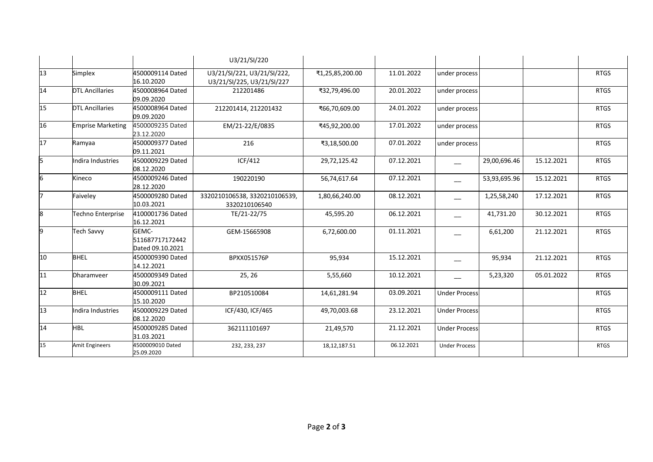|    |                          |                                              | U3/21/SI/220                                              |                 |            |                      |              |            |             |
|----|--------------------------|----------------------------------------------|-----------------------------------------------------------|-----------------|------------|----------------------|--------------|------------|-------------|
| 13 | Simplex                  | 4500009114 Dated<br>16.10.2020               | U3/21/SI/221, U3/21/SI/222,<br>U3/21/SI/225, U3/21/SI/227 | ₹1,25,85,200.00 | 11.01.2022 | under process        |              |            | <b>RTGS</b> |
| 14 | <b>DTL Ancillaries</b>   | 4500008964 Dated<br>09.09.2020               | 212201486                                                 | ₹32,79,496.00   | 20.01.2022 | under process        |              |            | <b>RTGS</b> |
| 15 | <b>DTL Ancillaries</b>   | 4500008964 Dated<br>09.09.2020               | 212201414, 212201432                                      | ₹66,70,609.00   | 24.01.2022 | under process        |              |            | <b>RTGS</b> |
| 16 | <b>Emprise Marketing</b> | 4500009235 Dated<br>23.12.2020               | EM/21-22/E/0835                                           | ₹45,92,200.00   | 17.01.2022 | under process        |              |            | <b>RTGS</b> |
| 17 | Ramyaa                   | 4500009377 Dated<br>09.11.2021               | 216                                                       | ₹3,18,500.00    | 07.01.2022 | under process        |              |            | <b>RTGS</b> |
| 15 | Indira Industries        | 4500009229 Dated<br>08.12.2020               | <b>ICF/412</b>                                            | 29,72,125.42    | 07.12.2021 |                      | 29,00,696.46 | 15.12.2021 | <b>RTGS</b> |
| 6  | Kineco                   | 4500009246 Dated<br>28.12.2020               | 190220190                                                 | 56,74,617.64    | 07.12.2021 |                      | 53,93,695.96 | 15.12.2021 | <b>RTGS</b> |
|    | Faiveley                 | 4500009280 Dated<br>10.03.2021               | 3320210106538, 3320210106539,<br>3320210106540            | 1,80,66,240.00  | 08.12.2021 |                      | 1,25,58,240  | 17.12.2021 | <b>RTGS</b> |
| 8  | Techno Enterprise        | 4100001736 Dated<br>16.12.2021               | TE/21-22/75                                               | 45,595.20       | 06.12.2021 |                      | 41,731.20    | 30.12.2021 | <b>RTGS</b> |
| 9  | <b>Tech Savvy</b>        | GEMC-<br>511687717172442<br>Dated 09.10.2021 | GEM-15665908                                              | 6,72,600.00     | 01.11.2021 |                      | 6,61,200     | 21.12.2021 | <b>RTGS</b> |
| 10 | <b>BHEL</b>              | 4500009390 Dated<br>14.12.2021               | BPXX051576P                                               | 95,934          | 15.12.2021 |                      | 95,934       | 21.12.2021 | <b>RTGS</b> |
| 11 | Dharamveer               | 4500009349 Dated<br>30.09.2021               | 25, 26                                                    | 5,55,660        | 10.12.2021 |                      | 5,23,320     | 05.01.2022 | <b>RTGS</b> |
| 12 | <b>BHEL</b>              | 4500009111 Dated<br>15.10.2020               | BP210510084                                               | 14,61,281.94    | 03.09.2021 | <b>Under Process</b> |              |            | <b>RTGS</b> |
| 13 | Indira Industries        | 4500009229 Dated<br>08.12.2020               | ICF/430, ICF/465                                          | 49,70,003.68    | 23.12.2021 | <b>Under Process</b> |              |            | <b>RTGS</b> |
| 14 | <b>HBL</b>               | 4500009285 Dated<br>31.03.2021               | 362111101697                                              | 21,49,570       | 21.12.2021 | <b>Under Process</b> |              |            | <b>RTGS</b> |
| 15 | <b>Amit Engineers</b>    | 4500009010 Dated<br>25.09.2020               | 232, 233, 237                                             | 18, 12, 187. 51 | 06.12.2021 | <b>Under Process</b> |              |            | <b>RTGS</b> |